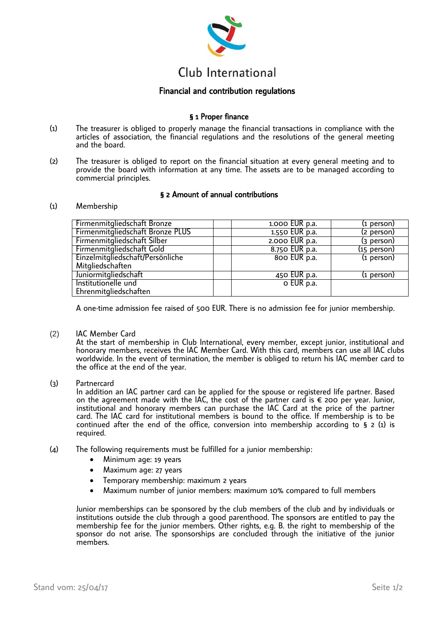

# Club International

## Financial and contribution regulations

# § 1 Proper finance

- (1) The treasurer is obliged to properly manage the financial transactions in compliance with the articles of association, the financial regulations and the resolutions of the general meeting and the board.
- (2) The treasurer is obliged to report on the financial situation at every general meeting and to provide the board with information at any time. The assets are to be managed according to commercial principles.

## § 2 Amount of annual contributions

#### (1) Membership

| Firmenmitgliedschaft Bronze      | 1.000 EUR p.a. | (1 person)    |
|----------------------------------|----------------|---------------|
| Firmenmitgliedschaft Bronze PLUS | 1.550 EUR p.a. | (2 person)    |
| Firmenmitgliedschaft Silber      | 2.000 EUR p.a. | (3 person)    |
| Firmenmitgliedschaft Gold        | 8.750 EUR p.a. | $(15$ person) |
| Einzelmitgliedschaft/Persönliche | 800 EUR p.a.   | $(i)$ person) |
| Mitgliedschaften                 |                |               |
| Juniormitgliedschaft             | 450 EUR p.a.   | (1 person)    |
| Institutionelle und              | o EUR p.a.     |               |
| Ehrenmitgliedschaften            |                |               |

A one-time admission fee raised of 500 EUR. There is no admission fee for junior membership.

(2) IAC Member Card

At the start of membership in Club International, every member, except junior, institutional and honorary members, receives the IAC Member Card. With this card, members can use all IAC clubs worldwide. In the event of termination, the member is obliged to return his IAC member card to the office at the end of the year.

(3) Partnercard

In addition an IAC partner card can be applied for the spouse or registered life partner. Based on the agreement made with the IAC, the cost of the partner card is  $\epsilon$  200 per year. Junior, institutional and honorary members can purchase the IAC Card at the price of the partner card. The IAC card for institutional members is bound to the office. If membership is to be continued after the end of the office, conversion into membership according to § 2 (1) is required.

- (4) The following requirements must be fulfilled for a junior membership:
	- Minimum age: 19 years
	- Maximum age: 27 years
	- Temporary membership: maximum 2 years
	- Maximum number of junior members: maximum 10% compared to full members

Junior memberships can be sponsored by the club members of the club and by individuals or institutions outside the club through a good parenthood. The sponsors are entitled to pay the membership fee for the junior members. Other rights, e.g. B. the right to membership of the sponsor do not arise. The sponsorships are concluded through the initiative of the junior members.